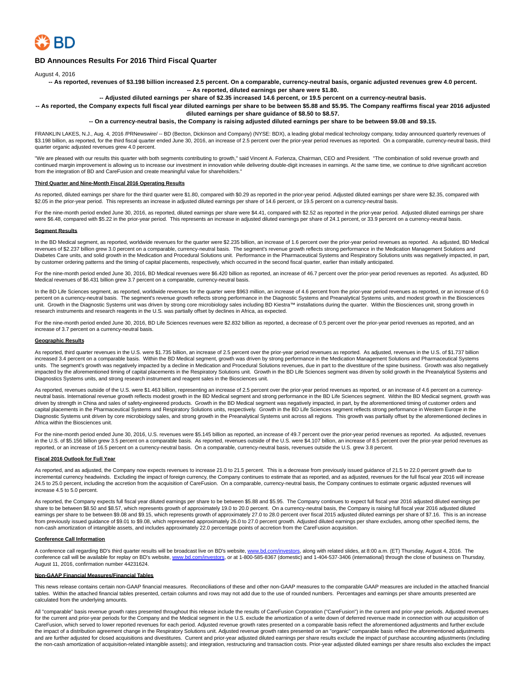

# **BD Announces Results For 2016 Third Fiscal Quarter**

August 4, 2016

**-- As reported, revenues of \$3.198 billion increased 2.5 percent. On a comparable, currency-neutral basis, organic adjusted revenues grew 4.0 percent. -- As reported, diluted earnings per share were \$1.80.**

**-- Adjusted diluted earnings per share of \$2.35 increased 14.6 percent, or 19.5 percent on a currency-neutral basis.**

**-- As reported, the Company expects full fiscal year diluted earnings per share to be between \$5.88 and \$5.95. The Company reaffirms fiscal year 2016 adjusted diluted earnings per share guidance of \$8.50 to \$8.57.**

**-- On a currency-neutral basis, the Company is raising adjusted diluted earnings per share to be between \$9.08 and \$9.15.**

FRANKLIN LAKES, N.J., Aug. 4, 2016 /PRNewswire/ -- BD (Becton, Dickinson and Company) (NYSE: BDX), a leading global medical technology company, today announced quarterly revenues of \$3.198 billion, as reported, for the third fiscal quarter ended June 30, 2016, an increase of 2.5 percent over the prior-year period revenues as reported. On a comparable, currency-neutral basis, third quarter organic adjusted revenues grew 4.0 percent.

"We are pleased with our results this quarter with both segments contributing to growth," said Vincent A. Forlenza, Chairman, CEO and President. "The combination of solid revenue growth and continued margin improvement is allowing us to increase our investment in innovation while delivering double-digit increases in earnings. At the same time, we continue to drive significant accretion from the integration of BD and CareFusion and create meaningful value for shareholders."

## **Third Quarter and Nine-Month Fiscal 2016 Operating Results**

As reported, diluted earnings per share for the third quarter were \$1.80, compared with \$0.29 as reported in the prior-year period. Adjusted diluted earnings per share were \$2.35, compared with \$2.05 in the prior-year period. This represents an increase in adjusted diluted earnings per share of 14.6 percent, or 19.5 percent on a currency-neutral basis.

For the nine-month period ended June 30, 2016, as reported, diluted earnings per share were \$4.41, compared with \$2.52 as reported in the prior-year period. Adjusted diluted earnings per share were \$6.48, compared with \$5.22 in the prior-year period. This represents an increase in adjusted diluted earnings per share of 24.1 percent, or 33.9 percent on a currency-neutral basis.

#### **Segment Results**

In the BD Medical segment, as reported, worldwide revenues for the quarter were \$2.235 billion, an increase of 1.6 percent over the prior-year period revenues as reported. As adjusted, BD Medical revenues of \$2.237 billion grew 3.0 percent on a comparable, currency-neutral basis. The segment's revenue growth reflects strong performance in the Medication Management Solutions and Diabetes Care units, and solid growth in the Medication and Procedural Solutions unit. Performance in the Pharmaceutical Systems and Respiratory Solutions units was negatively impacted, in part, by customer ordering patterns and the timing of capital placements, respectively, which occurred in the second fiscal quarter, earlier than initially anticipated.

For the nine-month period ended June 30, 2016, BD Medical revenues were \$6.420 billion as reported, an increase of 46.7 percent over the prior-year period revenues as reported. As adjusted, BD Medical revenues of \$6.431 billion grew 3.7 percent on a comparable, currency-neutral basis.

In the BD Life Sciences segment, as reported, worldwide revenues for the quarter were \$963 million, an increase of 4.6 percent from the prior-year period revenues as reported, or an increase of 6.0 percent on a currency-neutral basis. The segment's revenue growth reflects strong performance in the Diagnostic Systems and Preanalytical Systems units, and modest growth in the Biosciences<br>unit. Growth in the Diagnostic research instruments and research reagents in the U.S. was partially offset by declines in Africa, as expected.

For the nine-month period ended June 30, 2016, BD Life Sciences revenues were \$2.832 billion as reported, a decrease of 0.5 percent over the prior-year period revenues as reported, and an increase of 3.7 percent on a currency-neutral basis.

#### **Geographic Results**

As reported, third quarter revenues in the U.S. were \$1.735 billion, an increase of 2.5 percent over the prior-year period revenues as reported. As adjusted, revenues in the U.S. of \$1.737 billion increased 3.4 percent on a comparable basis. Within the BD Medical segment, growth was driven by strong performance in the Medication Management Solutions and Pharmaceutical Systems units. The segment's growth was negatively impacted by a decline in Medication and Procedural Solutions revenues, due in part to the divestiture of the spine business. Growth was also negatively impacted by the aforementioned timing of capital placements in the Respiratory Solutions unit. Growth in the BD Life Sciences segment was driven by solid growth in the Preanalytical Systems and Diagnostics Systems units, and strong research instrument and reagent sales in the Biosciences unit.

As reported, revenues outside of the U.S. were \$1.463 billion, representing an increase of 2.5 percent over the prior-year period revenues as reported, or an increase of 4.6 percent on a currencyneutral basis. International revenue growth reflects modest growth in the BD Medical segment and strong performance in the BD Life Sciences segment. Within the BD Medical segment, growth was driven by strength in China and sales of safety-engineered products. Growth in the BD Medical segment was negatively impacted, in part, by the aforementioned timing of customer orders and capital placements in the Pharmaceutical Systems and Respiratory Solutions units, respectively. Growth in the BD Life Sciences segment reflects strong performance in Western Europe in the Diagnostic Systems unit driven by core microbiology sales, and strong growth in the Preanalytical Systems unit across all regions. This growth was partially offset by the aforementioned declines in Africa within the Biosciences unit.

For the nine-month period ended June 30, 2016, U.S. revenues were \$5.145 billion as reported, an increase of 49.7 percent over the prior-year period revenues as reported. As adjusted, revenues in the U.S. of \$5.156 billion grew 3.5 percent on a comparable basis. As reported, revenues outside of the U.S. were \$4.107 billion, an increase of 8.5 percent over the prior-year period revenues as reported, or an increase of 16.5 percent on a currency-neutral basis. On a comparable, currency-neutral basis, revenues outside the U.S. grew 3.8 percent.

#### **Fiscal 2016 Outlook for Full Year**

As reported, and as adjusted, the Company now expects revenues to increase 21.0 to 21.5 percent. This is a decrease from previously issued guidance of 21.5 to 22.0 percent growth due to incremental currency headwinds. Excluding the impact of foreign currency, the Company continues to estimate that as reported, and as adjusted, revenues for the full fiscal year 2016 will increase 24.5 to 25.0 percent, including the accretion from the acquisition of CareFusion. On a comparable, currency-neutral basis, the Company continues to estimate organic adjusted revenues will increase 4.5 to 5.0 percent.

As reported, the Company expects full fiscal year diluted earnings per share to be between \$5.88 and \$5.95. The Company continues to expect full fiscal year 2016 adjusted diluted earnings per share to be between \$8.50 and \$8.57, which represents growth of approximately 19.0 to 20.0 percent. On a currency-neutral basis, the Company is raising full fiscal year 2016 adjusted diluted earnings per share to be between \$9.08 and \$9.15, which represents growth of approximately 27.0 to 28.0 percent over fiscal 2015 adjusted diluted earnings per share of \$7.16. This is an increase from previously issued guidance of \$9.01 to \$9.08, which represented approximately 26.0 to 27.0 percent growth. Adjusted diluted earnings per share excludes, among other specified items, the non-cash amortization of intangible assets, and includes approximately 22.0 percentage points of accretion from the CareFusion acquisition.

#### **Conference Call Information**

A conference call regarding BD's third quarter results will be broadcast live on BD's website, [www.bd.com/investors,](http://www.bd.com/investors) along with related slides, at 8:00 a.m. (ET) Thursday, August 4, 2016. The conference call will be available for replay on BD's website[, www.bd.com/investors,](http://www.bd.com/investors) or at 1-800-585-8367 (domestic) and 1-404-537-3406 (international) through the close of business on Thursday, August 11, 2016, confirmation number 44231624.

## **Non-GAAP Financial Measures/Financial Tables**

This news release contains certain non-GAAP financial measures. Reconciliations of these and other non-GAAP measures to the comparable GAAP measures are included in the attached financial tables. Within the attached financial tables presented, certain columns and rows may not add due to the use of rounded numbers. Percentages and earnings per share amounts presented are calculated from the underlying amounts.

All "comparable" basis revenue growth rates presented throughout this release include the results of CareFusion Corporation ("CareFusion") in the current and prior-year periods. Adjusted revenues for the current and prior-year periods for the Company and the Medical segment in the U.S. exclude the amortization of a write down of deferred revenue made in connection with our acquisition of CareFusion, which served to lower reported revenues for each period. Adjusted revenue growth rates presented on a comparable basis reflect the aforementioned adjustments and further exclude the impact of a distribution agreement change in the Respiratory Solutions unit. Adjusted revenue growth rates presented on an "organic" comparable basis reflect the aforementioned adjustments<br>and are further adjusted for the non-cash amortization of acquisition-related intangible assets); and integration, restructuring and transaction costs. Prior-year adjusted diluted earnings per share results also excludes the impact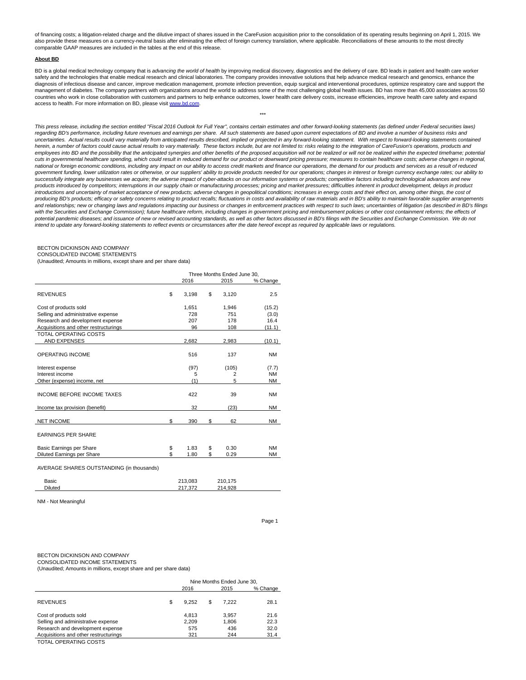of financing costs; a litigation-related charge and the dilutive impact of shares issued in the CareFusion acquisition prior to the consolidation of its operating results beginning on April 1, 2015. We also provide these measures on a currency-neutral basis after eliminating the effect of foreign currency translation, where applicable. Reconciliations of these amounts to the most directly comparable GAAP measures are included in the tables at the end of this release.

#### **About BD**

BD is a global medical technology company that is advancing the world of health by improving medical discovery, diagnostics and the delivery of care. BD leads in patient and health care worker safety and the technologies that enable medical research and clinical laboratories. The company provides innovative solutions that help advance medical research and genomics, enhance the diagnosis of infectious disease and cancer, improve medication management, promote infection prevention, equip surgical and interventional procedures, optimize respiratory care and support the management of diabetes. The company partners with organizations around the world to address some of the most challenging global health issues. BD has more than 45,000 associates across 50 countries who work in close collaboration with customers and partners to help enhance outcomes, lower health care delivery costs, increase efficiencies, improve health care safety and expand access to health. For more information on BD, please visit [www.bd.com.](http://www.bd.com/)

\*\*\*

This press release, including the section entitled "Fiscal 2016 Outlook for Full Year", contains certain estimates and other forward-looking statements (as defined under Federal securities laws) regarding BD's performance, including future revenues and earnings per share. All such statements are based upon current expectations of BD and involve a number of business risks and uncertainties. Actual results could vary materially from anticipated results described, implied or projected in any forward-looking statement. With respect to forward-looking statements contained herein, a number of factors could cause actual results to vary materially. These factors include, but are not limited to: risks relating to the integration of CareFusion's operations, products and employees into BD and the possibility that the anticipated synergies and other benefits of the proposed acquisition will not be realized or will not be realized within the expected timeframe; potential cuts in governmental healthcare spending, which could result in reduced demand for our product or downward pricing pressure; measures to contain healthcare costs; adverse changes in regional, national or foreign economic conditions, including any impact on our ability to access credit markets and finance our operations, the demand for our products and services as a result of reduced government funding, lower utilization rates or otherwise, or our suppliers' ability to provide products needed for our operations; changes in interest or foreign currency exchange rates; our ability to successfully integrate any businesses we acquire; the adverse impact of cyber-attacks on our information systems or products; competitive factors including technological advances and new products introduced by competitors; interruptions in our supply chain or manufacturing processes; pricing and market pressures; difficulties inherent in product development, delays in product introductions and uncertainty of market acceptance of new products; adverse changes in geopolitical conditions; increases in energy costs and their effect on, among other things, the cost of producing BD's products; efficacy or safety concerns relating to product recalls; fluctuations in costs and availability of raw materials and in BD's ability to maintain favorable supplier arrangements and relationships; new or changing laws and regulations impacting our business or changes in enforcement practices with respect to such laws; uncertainties of litigation (as described in BD's filings with the Securities and Exchange Commission); future healthcare reform, including changes in government pricing and reimbursement policies or other cost containment reforms; the effects of<br>potential pandemic diseases; and intend to update any forward-looking statements to reflect events or circumstances after the date hereof except as required by applicable laws or regulations.

#### BECTON DICKINSON AND COMPANY

CONSOLIDATED INCOME STATEMENTS

(Unaudited; Amounts in millions, except share and per share data)

|                                           | Three Months Ended June 30, |                |           |
|-------------------------------------------|-----------------------------|----------------|-----------|
|                                           | 2016                        | 2015           | % Change  |
| <b>REVENUES</b>                           | \$<br>3,198                 | \$<br>3,120    | 2.5       |
| Cost of products sold                     | 1,651                       | 1,946          | (15.2)    |
| Selling and administrative expense        | 728                         | 751            | (3.0)     |
| Research and development expense          | 207                         | 178            | 16.4      |
| Acquisitions and other restructurings     | 96                          | 108            | (11.1)    |
| <b>TOTAL OPERATING COSTS</b>              |                             |                |           |
| <b>AND EXPENSES</b>                       | 2,682                       | 2,983          | (10.1)    |
| <b>OPERATING INCOME</b>                   | 516                         | 137            | <b>NM</b> |
| Interest expense                          | (97)                        | (105)          | (7.7)     |
| Interest income                           | 5                           | $\overline{2}$ | <b>NM</b> |
| Other (expense) income, net               | (1)                         | 5              | <b>NM</b> |
| <b>INCOME BEFORE INCOME TAXES</b>         | 422                         | 39             | <b>NM</b> |
| Income tax provision (benefit)            | 32                          | (23)           | ΝM        |
| <b>NET INCOME</b>                         | \$<br>390                   | \$<br>62       | <b>NM</b> |
| <b>EARNINGS PER SHARE</b>                 |                             |                |           |
| Basic Earnings per Share                  | \$<br>1.83                  | \$<br>0.30     | <b>NM</b> |
| Diluted Earnings per Share                | \$<br>1.80                  | \$<br>0.29     | <b>NM</b> |
| AVERAGE SHARES OUTSTANDING (in thousands) |                             |                |           |
| Basic                                     | 213,083                     | 210,175        |           |

NM - Not Meaningful

Page 1

## BECTON DICKINSON AND COMPANY

CONSOLIDATED INCOME STATEMENTS

(Unaudited; Amounts in millions, except share and per share data)

Diluted 217,372 214,928

|                                       | Nine Months Ended June 30, |       |     |       |          |  |  |  |  |  |  |  |
|---------------------------------------|----------------------------|-------|-----|-------|----------|--|--|--|--|--|--|--|
|                                       |                            | 2016  |     | 2015  | % Change |  |  |  |  |  |  |  |
| <b>REVENUES</b>                       | S                          | 9.252 | \$. | 7.222 | 28.1     |  |  |  |  |  |  |  |
| Cost of products sold                 |                            | 4.813 |     | 3.957 | 21.6     |  |  |  |  |  |  |  |
| Selling and administrative expense    |                            | 2.209 |     | 1.806 | 22.3     |  |  |  |  |  |  |  |
| Research and development expense      |                            | 575   |     | 436   | 32.0     |  |  |  |  |  |  |  |
| Acquisitions and other restructurings |                            | 321   |     | 244   | 31.4     |  |  |  |  |  |  |  |

TOTAL OPERATING COSTS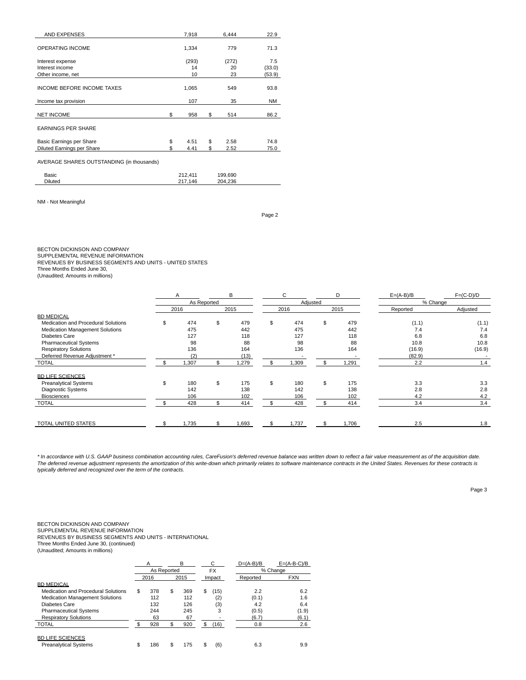| <b>AND EXPENSES</b>                       | 7,918      | 6,444      | 22.9   |
|-------------------------------------------|------------|------------|--------|
| <b>OPERATING INCOME</b>                   | 1,334      | 779        | 71.3   |
|                                           |            |            |        |
| Interest expense                          | (293)      | (272)      | 7.5    |
| Interest income                           | 14         | 20         | (33.0) |
| Other income, net                         | 10         | 23         | (53.9) |
|                                           |            |            |        |
| <b>INCOME BEFORE INCOME TAXES</b>         | 1,065      | 549        | 93.8   |
|                                           |            |            |        |
| Income tax provision                      | 107        | 35         | NM     |
|                                           |            |            |        |
| <b>NET INCOME</b>                         | \$<br>958  | \$<br>514  | 86.2   |
|                                           |            |            |        |
| <b>EARNINGS PER SHARE</b>                 |            |            |        |
|                                           |            |            |        |
| Basic Earnings per Share                  | \$<br>4.51 | \$<br>2.58 | 74.8   |
| Diluted Earnings per Share                | \$<br>4.41 | \$<br>2.52 | 75.0   |
|                                           |            |            |        |
| AVERAGE SHARES OUTSTANDING (in thousands) |            |            |        |
| <b>Basic</b>                              | 212,411    | 199,690    |        |
| <b>Diluted</b>                            | 217,146    | 204,236    |        |
|                                           |            |            |        |

NM - Not Meaningful

Page 2

BECTON DICKINSON AND COMPANY

SUPPLEMENTAL REVENUE INFORMATION

REVENUES BY BUSINESS SEGMENTS AND UNITS - UNITED STATES

Three Months Ended June 30, (Unaudited; Amounts in millions)

|                                        | B           |    |       |    | C        | D         | $E=(A-B)/B$ | $F=(C-D)/D$ |  |  |
|----------------------------------------|-------------|----|-------|----|----------|-----------|-------------|-------------|--|--|
|                                        | As Reported |    |       |    | Adjusted |           | % Change    |             |  |  |
|                                        | 2016        |    | 2015  |    | 2016     | 2015      | Reported    | Adjusted    |  |  |
| <b>BD MEDICAL</b>                      |             |    |       |    |          |           |             |             |  |  |
| Medication and Procedural Solutions    | \$<br>474   | \$ | 479   | \$ | 474      | \$<br>479 | (1.1)       | (1.1)       |  |  |
| <b>Medication Management Solutions</b> | 475         |    | 442   |    | 475      | 442       | 7.4         | 7.4         |  |  |
| Diabetes Care                          | 127         |    | 118   |    | 127      | 118       | 6.8         | 6.8         |  |  |
| <b>Pharmaceutical Systems</b>          | 98          |    | 88    |    | 98       | 88        | 10.8        | 10.8        |  |  |
| <b>Respiratory Solutions</b>           | 136         |    | 164   |    | 136      | 164       | (16.9)      | (16.9)      |  |  |
| Deferred Revenue Adjustment *          | (2)         |    | (13)  |    |          |           | (82.9)      |             |  |  |
| <b>TOTAL</b>                           | 1,307       | \$ | .279  | ٩  | 1,309    | 1,291     | 2.2         | 1.4         |  |  |
| <b>BD LIFE SCIENCES</b>                |             |    |       |    |          |           |             |             |  |  |
| <b>Preanalytical Systems</b>           | \$<br>180   | \$ | 175   | \$ | 180      | \$<br>175 | 3.3         | 3.3         |  |  |
| Diagnostic Systems                     | 142         |    | 138   |    | 142      | 138       | 2.8         | 2.8         |  |  |
| <b>Biosciences</b>                     | 106         |    | 102   |    | 106      | 102       | 4.2         | 4.2         |  |  |
| <b>TOTAL</b>                           | 428         |    | 414   | \$ | 428      | 414       | 3.4         | 3.4         |  |  |
|                                        |             |    |       |    |          |           |             |             |  |  |
| TOTAL UNITED STATES                    | 1,735       |    | 1,693 |    | 1,737    | 1,706     | 2.5         | 1.8         |  |  |

\* In accordance with U.S. GAAP business combination accounting rules, CareFusion's deferred revenue balance was written down to reflect a fair value measurement as of the acquisition date.<br>The deferred revenue adjustment r typically deferred and recognized over the term of the contracts.

Page 3

# BECTON DICKINSON AND COMPANY

SUPPLEMENTAL REVENUE INFORMATION REVENUES BY BUSINESS SEGMENTS AND UNITS - INTERNATIONAL

Three Months Ended June 30, (continued)

|                                                         | A<br>As Reported |      | в   |    | С<br><b>FX</b> | $D=(A-B)/B$ | $E=(A-B-C)/B$<br>% Change |
|---------------------------------------------------------|------------------|------|-----|----|----------------|-------------|---------------------------|
|                                                         | 2016             | 2015 |     |    |                |             | <b>FXN</b>                |
| <b>BD MEDICAL</b>                                       |                  |      |     |    | Impact         | Reported    |                           |
| Medication and Procedural Solutions                     | \$<br>378        | \$   | 369 | \$ | (15)           | 2.2         | 6.2                       |
| <b>Medication Management Solutions</b>                  | 112              |      | 112 |    | (2)            | (0.1)       | 1.6                       |
| Diabetes Care                                           | 132              |      | 126 |    | (3)            | 4.2         | 6.4                       |
| <b>Pharmaceutical Systems</b>                           | 244              |      | 245 |    | 3              | (0.5)       | (1.9)                     |
| <b>Respiratory Solutions</b>                            | 63               |      | 67  |    |                | (6.7)       | (6.1)                     |
| <b>TOTAL</b>                                            | 928              |      | 920 | \$ | (16)           | 0.8         | 2.6                       |
| <b>BD LIFE SCIENCES</b><br><b>Preanalytical Systems</b> | \$<br>186        | \$   | 175 | \$ | (6)            | 6.3         | 9.9                       |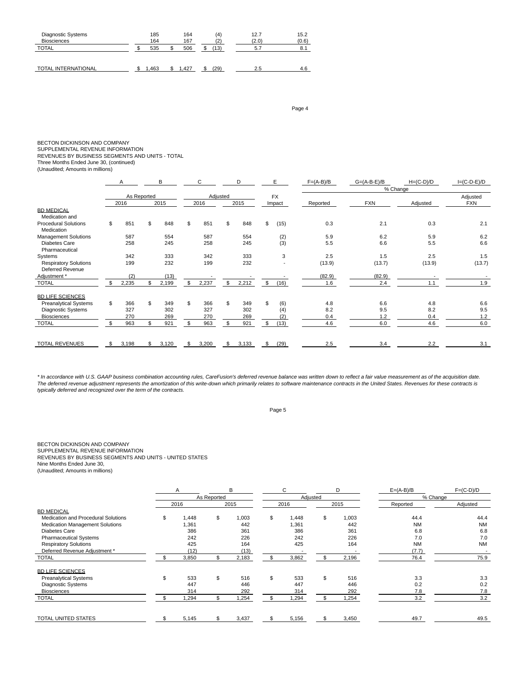| Diagnostic Systems<br><b>Biosciences</b> | 185<br>164 | 164<br>167 | (4)  | 12.7<br>(2.0) | 15.2<br>(0.6) |
|------------------------------------------|------------|------------|------|---------------|---------------|
| <b>TOTAL</b>                             | 535        | 506        | (13) | 5.7           | 8.1           |
| <b>TOTAL INTERNATIONAL</b>               | .463       | .427       | 29)  | 2.5           | 4.6           |

Page 4

BECTON DICKINSON AND COMPANY

SUPPLEMENTAL REVENUE INFORMATION

REVENUES BY BUSINESS SEGMENTS AND UNITS - TOTAL

Three Months Ended June 30, (continued) (Unaudited; Amounts in millions)

|                                                         | А           |             | B     |             | E        |       | $F=(A-B)/B$ | $G=(A-B-E)/B$ | $H=(C-D)/D$ | $I=(C-D-E)/D$ |          |            |
|---------------------------------------------------------|-------------|-------------|-------|-------------|----------|-------|-------------|---------------|-------------|---------------|----------|------------|
|                                                         |             |             |       |             |          |       |             |               |             | % Change      |          |            |
|                                                         |             | As Reported |       |             | Adjusted |       |             | <b>FX</b>     |             |               |          | Adjusted   |
|                                                         | 2016        |             | 2015  | 2016        |          | 2015  |             | Impact        | Reported    | <b>FXN</b>    | Adjusted | <b>FXN</b> |
| <b>BD MEDICAL</b>                                       |             |             |       |             |          |       |             |               |             |               |          |            |
| Medication and                                          |             |             |       |             |          |       |             |               |             |               |          |            |
| <b>Procedural Solutions</b><br>Medication               | \$<br>851   | \$          | 848   | \$<br>851   | \$       | 848   | \$          | (15)          | 0.3         | 2.1           | 0.3      | 2.1        |
| <b>Management Solutions</b>                             | 587         |             | 554   | 587         |          | 554   |             | (2)           | 5.9         | 6.2           | 5.9      | 6.2        |
| <b>Diabetes Care</b><br>Pharmaceutical                  | 258         |             | 245   | 258         |          | 245   |             | (3)           | 5.5         | 6.6           | 5.5      | 6.6        |
| Systems                                                 | 342         |             | 333   | 342         |          | 333   |             | 3             | 2.5         | 1.5           | 2.5      | 1.5        |
| <b>Respiratory Solutions</b><br><b>Deferred Revenue</b> | 199         |             | 232   | 199         |          | 232   |             |               | (13.9)      | (13.7)        | (13.9)   | (13.7)     |
| Adjustment *                                            | (2)         |             | (13)  |             |          |       |             |               | (82.9)      | (82.9)        |          |            |
| <b>TOTAL</b>                                            | 2,235       |             | 2,199 | \$<br>2,237 | \$       | 2,212 | \$          | (16)          | 1.6         | 2.4           | 1.1      | 1.9        |
| <b>BD LIFE SCIENCES</b>                                 |             |             |       |             |          |       |             |               |             |               |          |            |
| <b>Preanalytical Systems</b>                            | \$<br>366   | \$          | 349   | \$<br>366   | \$.      | 349   | \$.         | (6)           | 4.8         | 6.6           | 4.8      | 6.6        |
| <b>Diagnostic Systems</b>                               | 327         |             | 302   | 327         |          | 302   |             | (4)           | 8.2         | 9.5           | 8.2      | 9.5        |
| <b>Biosciences</b>                                      | 270         |             | 269   | 270         |          | 269   |             | (2)           | 0.4         | 1.2           | 0.4      | 1.2        |
| <b>TOTAL</b>                                            | \$<br>963   |             | 921   | \$<br>963   |          | 921   | \$          | (13)          | 4.6         | 6.0           | 4.6      | 6.0        |
| <b>TOTAL REVENUES</b>                                   | \$<br>3,198 |             | 3,120 | \$<br>3,200 | -S       | 3,133 | \$.         | (29)          | 2.5         | 3.4           | 2.2      | 3.1        |

\* In accordance with U.S. GAAP business combination accounting rules, CareFusion's deferred revenue balance was written down to reflect a fair value measurement as of the acquisition date. The deferred revenue adjustment represents the amortization of this write-down which primarily relates to software maintenance contracts in the United States. Revenues for these contracts is typically deferred and recognized over the term of the contracts.

Page 5

### BECTON DICKINSON AND COMPANY SUPPLEMENTAL REVENUE INFORMATION

REVENUES BY BUSINESS SEGMENTS AND UNITS - UNITED STATES Nine Months Ended June 30,

|                                        | B<br>Α      |             |       |     | C        | D           | $E=(A-B)/B$ | $F=(C-D)/D$ |  |
|----------------------------------------|-------------|-------------|-------|-----|----------|-------------|-------------|-------------|--|
|                                        |             | As Reported |       |     | Adjusted |             | % Change    |             |  |
|                                        | 2016        |             | 2015  |     | 2016     | 2015        | Reported    | Adjusted    |  |
| <b>BD MEDICAL</b>                      |             |             |       |     |          |             |             |             |  |
| Medication and Procedural Solutions    | \$<br>1,448 | \$          | 1,003 | \$  | 1,448    | \$<br>1,003 | 44.4        | 44.4        |  |
| <b>Medication Management Solutions</b> | ,361        |             | 442   |     | 1,361    | 442         | <b>NM</b>   | <b>NM</b>   |  |
| Diabetes Care                          | 386         |             | 361   |     | 386      | 361         | 6.8         | 6.8         |  |
| <b>Pharmaceutical Systems</b>          | 242         |             | 226   |     | 242      | 226         | 7.0         | 7.0         |  |
| <b>Respiratory Solutions</b>           | 425         |             | 164   |     | 425      | 164         | <b>NM</b>   | <b>NM</b>   |  |
| Deferred Revenue Adjustment *          | (12)        |             | (13)  |     |          |             | (7.7)       |             |  |
| <b>TOTAL</b>                           | 3,850       |             | 2,183 |     | 3,862    | 2,196       | 76.4        | 75.9        |  |
| <b>BD LIFE SCIENCES</b>                |             |             |       |     |          |             |             |             |  |
| <b>Preanalytical Systems</b>           | 533         | \$          | 516   | \$  | 533      | \$<br>516   | 3.3         | 3.3         |  |
| Diagnostic Systems                     | 447         |             | 446   |     | 447      | 446         | 0.2         | 0.2         |  |
| <b>Biosciences</b>                     | 314         |             | 292   |     | 314      | 292         | 7.8         | 7.8         |  |
| TOTAL                                  | ,294        |             | 1,254 | \$. | 1,294    | 1,254       | 3.2         | 3.2         |  |
| <b>TOTAL UNITED STATES</b>             | \$<br>5,145 | \$          | 3,437 | \$  | 5,156    | \$<br>3,450 | 49.7        | 49.5        |  |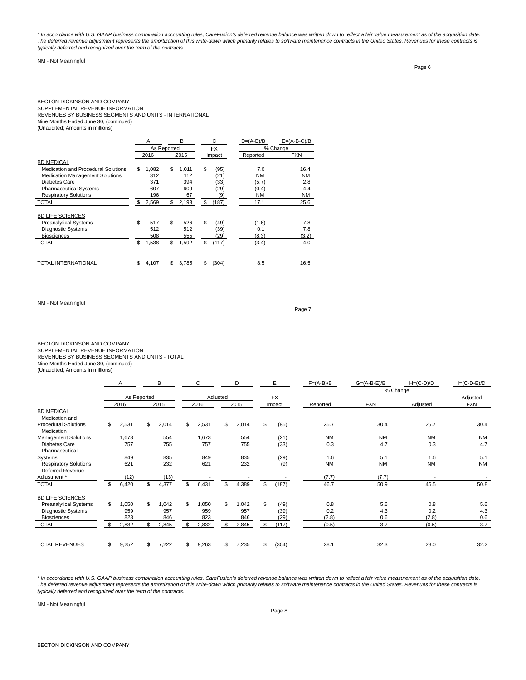\* In accordance with U.S. GAAP business combination accounting rules, CareFusion's deferred revenue balance was written down to reflect a fair value measurement as of the acquisition date. The deferred revenue adjustment represents the amortization of this write-down which primarily relates to software maintenance contracts in the United States. Revenues for these contracts is typically deferred and recognized over the term of the contracts.

# NM - Not Meaningful

Page 6

# BECTON DICKINSON AND COMPANY

SUPPLEMENTAL REVENUE INFORMATION REVENUES BY BUSINESS SEGMENTS AND UNITS - INTERNATIONAL Nine Months Ended June 30, (continued)

(Unaudited; Amounts in millions)

|                                        |    | A           | B    |       |    | С         | $D=(A-B)/B$ | $E=(A-B-C)/B$ |
|----------------------------------------|----|-------------|------|-------|----|-----------|-------------|---------------|
|                                        |    | As Reported |      |       |    | <b>FX</b> |             | % Change      |
|                                        |    | 2016        | 2015 |       |    | Impact    | Reported    | <b>FXN</b>    |
| <b>BD MEDICAL</b>                      |    |             |      |       |    |           |             |               |
| Medication and Procedural Solutions    | \$ | 1,082       | \$   | 1.011 | \$ | (95)      | 7.0         | 16.4          |
| <b>Medication Management Solutions</b> |    | 312         |      | 112   |    | (21)      | <b>NM</b>   | <b>NM</b>     |
| Diabetes Care                          |    | 371         |      | 394   |    | (33)      | (5.7)       | 2.8           |
| <b>Pharmaceutical Systems</b>          |    | 607         |      | 609   |    | (29)      | (0.4)       | 4.4           |
| <b>Respiratory Solutions</b>           |    | 196         |      | 67    |    | (9)       | <b>NM</b>   | <b>NM</b>     |
| <b>TOTAL</b>                           | \$ | 2,569       | \$   | 2,193 | \$ | (187)     | 17.1        | 25.6          |
| <b>BD LIFE SCIENCES</b>                |    |             |      |       |    |           |             |               |
| <b>Preanalytical Systems</b>           | \$ | 517         | \$   | 526   | \$ | (49)      | (1.6)       | 7.8           |
| <b>Diagnostic Systems</b>              |    | 512         |      | 512   |    | (39)      | 0.1         | 7.8           |
| <b>Biosciences</b>                     |    | 508         |      | 555   |    | (29)      | (8.3)       | (3.2)         |
| <b>TOTAL</b>                           | \$ | 1,538       | \$   | 1,592 | \$ | (117)     | (3.4)       | 4.0           |
|                                        |    |             |      |       |    |           |             |               |
| <b>TOTAL INTERNATIONAL</b>             | S  | 4,107       | \$   | 3.785 | S  | (304)     | 8.5         | 16.5          |

NM - Not Meaningful

Page 7

BECTON DICKINSON AND COMPANY<br>SUPPLEMENTAL REVENUE INFORMATION<br>REVENUES BY BUSINESS SEGMENTS AND UNITS - TOTAL

Nine Months Ended June 30, (continued)

(Unaudited; Amounts in millions)

|                                                         | A           | В           | С           |          | D     | E           | $F=(A-B)/B$ | $G=(A-B-E)/B$ | $H=(C-D)/D$              | $I=(C-D-E)/D$ |  |
|---------------------------------------------------------|-------------|-------------|-------------|----------|-------|-------------|-------------|---------------|--------------------------|---------------|--|
|                                                         |             |             |             |          |       |             |             | % Change      |                          |               |  |
|                                                         | As Reported |             |             | Adjusted |       | <b>FX</b>   |             |               |                          | Adjusted      |  |
|                                                         | 2016        | 2015        | 2016        |          | 2015  | Impact      | Reported    | <b>FXN</b>    | Adjusted                 | <b>FXN</b>    |  |
| <b>BD MEDICAL</b><br>Medication and                     |             |             |             |          |       |             |             |               |                          |               |  |
| <b>Procedural Solutions</b><br>Medication               | \$<br>2,531 | \$<br>2,014 | \$<br>2,531 | \$       | 2,014 | \$<br>(95)  | 25.7        | 30.4          | 25.7                     | 30.4          |  |
| <b>Management Solutions</b>                             | 1,673       | 554         | 1,673       |          | 554   | (21)        | <b>NM</b>   | <b>NM</b>     | <b>NM</b>                | <b>NM</b>     |  |
| <b>Diabetes Care</b><br>Pharmaceutical                  | 757         | 755         | 757         |          | 755   | (33)        | 0.3         | 4.7           | 0.3                      | 4.7           |  |
| Systems                                                 | 849         | 835         | 849         |          | 835   | (29)        | 1.6         | 5.1           | 1.6                      | 5.1           |  |
| <b>Respiratory Solutions</b><br><b>Deferred Revenue</b> | 621         | 232         | 621         |          | 232   | (9)         | <b>NM</b>   | <b>NM</b>     | <b>NM</b>                | <b>NM</b>     |  |
| Adjustment *                                            | (12)        | (13)        |             |          |       |             | (7.7)       | (7.7)         | $\overline{\phantom{a}}$ |               |  |
| <b>TOTAL</b>                                            | \$<br>6,420 | \$<br>4,377 | \$<br>6,431 | \$       | 4,389 | \$<br>(187) | 46.7        | 50.9          | 46.5                     | 50.8          |  |
| <b>BD LIFE SCIENCES</b>                                 |             |             |             |          |       |             |             |               |                          |               |  |
| <b>Preanalytical Systems</b>                            | \$<br>1,050 | \$<br>042   | \$<br>1,050 | \$       | 1,042 | \$<br>(49)  | 0.8         | 5.6           | 0.8                      | 5.6           |  |
| <b>Diagnostic Systems</b>                               | 959         | 957         | 959         |          | 957   | (39)        | 0.2         | 4.3           | 0.2                      | 4.3           |  |
| <b>Biosciences</b>                                      | 823         | 846         | 823         |          | 846   | (29)        | (2.8)       | 0.6           | (2.8)                    | 0.6           |  |
| <b>TOTAL</b>                                            | \$<br>2,832 | \$<br>2,845 | \$<br>2,832 | \$       | 2,845 | \$<br>(117) | (0.5)       | 3.7           | (0.5)                    | 3.7           |  |
| <b>TOTAL REVENUES</b>                                   | \$<br>9,252 | \$<br>7,222 | \$<br>9,263 | \$       | 7,235 | \$<br>(304) | 28.1        | 32.3          | 28.0                     | 32.2          |  |

\* In accordance with U.S. GAAP business combination accounting rules, CareFusion's deferred revenue balance was written down to reflect a fair value measurement as of the acquisition date. The deferred revenue adjustment represents the amortization of this write-down which primarily relates to software maintenance contracts in the United States. Revenues for these contracts is typically deferred and recognized over the term of the contracts.

NM - Not Meaningful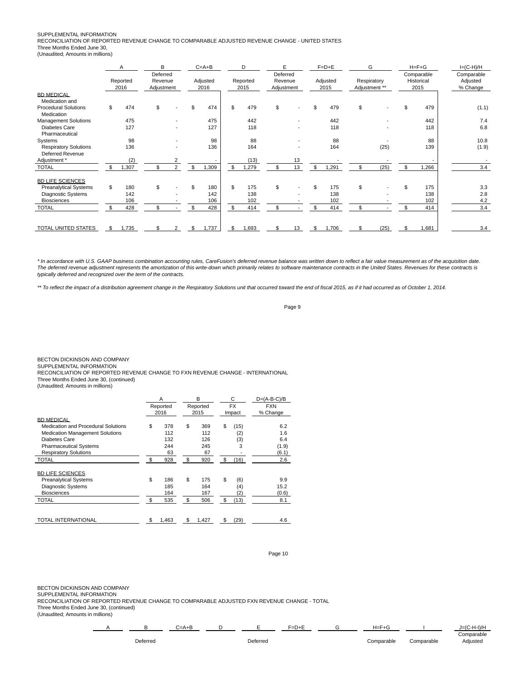# SUPPLEMENTAL INFORMATION

RECONCILIATION OF REPORTED REVENUE CHANGE TO COMPARABLE ADJUSTED REVENUE CHANGE - UNITED STATES Three Months Ended June 30,

(Unaudited; Amounts in millions)

|                                                  | Α                | B                                                                                                              |  | $C = A + B$ | D                | E                            |    | $F=D+E$                          | G  |                                    | $H = F + G$ |       | $I=(C-H)/H$ |  |
|--------------------------------------------------|------------------|----------------------------------------------------------------------------------------------------------------|--|-------------|------------------|------------------------------|----|----------------------------------|----|------------------------------------|-------------|-------|-------------|--|
|                                                  | Reported<br>2016 | Deferred<br>Deferred<br>Adjusted<br>Revenue<br>Reported<br>Revenue<br>2016<br>Adjustment<br>Adjustment<br>2015 |  |             | Adjusted<br>2015 | Respiratory<br>Adjustment ** |    | Comparable<br>Historical<br>2015 |    | Comparable<br>Adjusted<br>% Change |             |       |             |  |
| <b>BD MEDICAL</b><br>Medication and              |                  |                                                                                                                |  |             |                  |                              |    |                                  |    |                                    |             |       |             |  |
| <b>Procedural Solutions</b><br>Medication        | \$<br>474        | \$                                                                                                             |  | 474         | \$<br>479        | \$                           |    | 479                              | \$ |                                    |             | 479   | (1.1)       |  |
| Management Solutions                             | 475              |                                                                                                                |  | 475         | 442              |                              |    | 442                              |    |                                    |             | 442   | 7.4         |  |
| Diabetes Care<br>Pharmaceutical                  | 127              |                                                                                                                |  | 127         | 118              |                              |    | 118                              |    |                                    |             | 118   | 6.8         |  |
| Systems                                          | 98               |                                                                                                                |  | 98          | 88               |                              |    | 88                               |    |                                    |             | 88    | 10.8        |  |
| <b>Respiratory Solutions</b><br>Deferred Revenue | 136              |                                                                                                                |  | 136         | 164              |                              |    | 164                              |    | (25)                               |             | 139   | (1.9)       |  |
| Adjustment *                                     | (2)              |                                                                                                                |  |             | (13)             |                              | 13 |                                  |    |                                    |             |       |             |  |
| TOTAL                                            | \$<br>,307       |                                                                                                                |  | 1,309       | \$<br>.279       |                              | 13 | \$<br>1,291                      |    | (25)                               |             | 1,266 | 3.4         |  |
| <b>BD LIFE SCIENCES</b>                          |                  |                                                                                                                |  |             |                  |                              |    |                                  |    |                                    |             |       |             |  |
| <b>Preanalytical Systems</b>                     | \$<br>180        | \$                                                                                                             |  | 180         | \$<br>175        | \$                           |    | 175                              | \$ |                                    |             | 175   | 3.3         |  |
| Diagnostic Systems                               | 142              |                                                                                                                |  | 142         | 138              |                              |    | 138                              |    |                                    |             | 138   | 2.8         |  |
| <b>Biosciences</b>                               | 106              |                                                                                                                |  | 106         | 102              |                              |    | 102                              |    |                                    |             | 102   | 4.2         |  |
| <b>TOTAL</b>                                     | 428              |                                                                                                                |  | 428         | \$<br>414        | \$                           |    | 414                              | \$ |                                    |             | 414   | 3.4         |  |
| TOTAL UNITED STATES                              | \$<br>1,735      |                                                                                                                |  | 1,737       | \$<br>.693       |                              | 13 | 1,706                            |    | (25)                               |             | 1,681 | 3.4         |  |

\* In accordance with U.S. GAAP business combination accounting rules, CareFusion's deferred revenue balance was written down to reflect a fair value measurement as of the acquisition date. The deferred revenue adjustment represents the amortization of this write-down which primarily relates to software maintenance contracts in the United States. Revenues for these contracts is typically deferred and recognized over the term of the contracts.

\*\* To reflect the impact of a distribution agreement change in the Respiratory Solutions unit that occurred toward the end of fiscal 2015, as if it had occurred as of October 1, 2014.

Page 9

BECTON DICKINSON AND COMPANY

SUPPLEMENTAL INFORMATION

RECONCILIATION OF REPORTED REVENUE CHANGE TO FXN REVENUE CHANGE - INTERNATIONAL Three Months Ended June 30, (continued)

(Unaudited; Amounts in millions)

|                                        |    | A        | B           | C          | $D=(A-B-C)/B$ |
|----------------------------------------|----|----------|-------------|------------|---------------|
|                                        |    | Reported | Reported    | <b>FX</b>  | <b>FXN</b>    |
|                                        |    | 2016     | 2015        | Impact     | % Change      |
| <b>BD MEDICAL</b>                      |    |          |             |            |               |
| Medication and Procedural Solutions    | \$ | 378      | \$<br>369   | \$<br>(15) | 6.2           |
| <b>Medication Management Solutions</b> |    | 112      | 112         | (2)        | 1.6           |
| Diabetes Care                          |    | 132      | 126         | (3)        | 6.4           |
| <b>Pharmaceutical Systems</b>          |    | 244      | 245         | 3          | (1.9)         |
| <b>Respiratory Solutions</b>           |    | 63       | 67          |            | (6.1)         |
| <b>TOTAL</b>                           | \$ | 928      | \$<br>920   | \$<br>(16) | 2.6           |
| <b>BD LIFE SCIENCES</b>                |    |          |             |            |               |
| <b>Preanalytical Systems</b>           | \$ | 186      | \$<br>175   | \$<br>(6)  | 9.9           |
| <b>Diagnostic Systems</b>              |    | 185      | 164         | (4)        | 15.2          |
| <b>Biosciences</b>                     |    | 164      | 167         | (2)        | (0.6)         |
| <b>TOTAL</b>                           | \$ | 535      | \$<br>506   | \$<br>(13) | 8.1           |
|                                        |    |          |             |            |               |
| TOTAL INTERNATIONAL                    | S  | 1,463    | \$<br>1,427 | \$<br>(29) | 4.6           |

Page 10

BECTON DICKINSON AND COMPANY

SUPPLEMENTAL INFORMATION

RECONCILIATION OF REPORTED REVENUE CHANGE TO COMPARABLE ADJUSTED FXN REVENUE CHANGE - TOTAL

Three Months Ended June 30, (continued)

|          |  |  | $\overline{ }$ |                             | $\sim$<br>$-11.111$<br>'' |
|----------|--|--|----------------|-----------------------------|---------------------------|
|          |  |  |                |                             | `omns                     |
| )eterrec |  |  | `omparable     | .000 <sub>m</sub><br>arable | . .                       |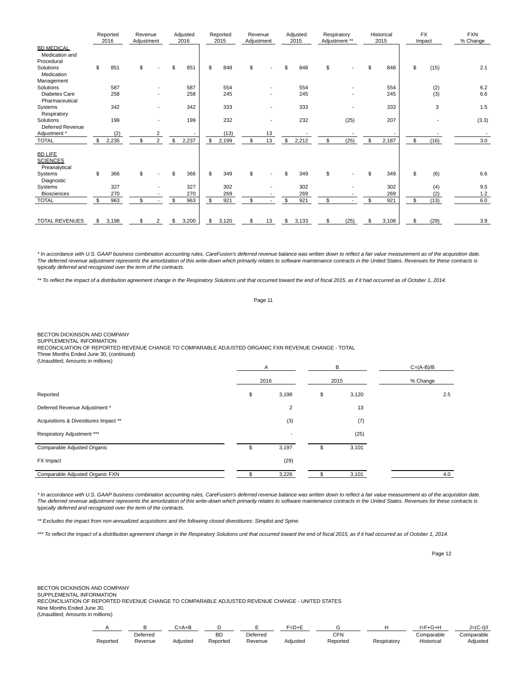|                                                    | Reported<br>2016 | Revenue<br>Adjustment |                | Adjusted<br>2016 |      | Reported<br>2015 | Revenue<br>Adjustment |    | Adjusted<br>2015 | Respiratory<br>Adjustment ** |      |                | Historical<br>2015 | <b>FX</b><br>Impact | <b>FXN</b><br>% Change |
|----------------------------------------------------|------------------|-----------------------|----------------|------------------|------|------------------|-----------------------|----|------------------|------------------------------|------|----------------|--------------------|---------------------|------------------------|
| <b>BD MEDICAL</b><br>Medication and<br>Procedural  |                  |                       |                |                  |      |                  |                       |    |                  |                              |      |                |                    |                     |                        |
| Solutions<br>Medication                            | \$<br>851        |                       |                | \$<br>851        | \$   | 848              |                       |    | \$<br>848        | \$                           |      |                | 848                | \$<br>(15)          | 2.1                    |
| Management                                         |                  |                       |                |                  |      |                  |                       |    |                  |                              |      |                |                    |                     |                        |
| Solutions                                          | 587              |                       |                | 587              |      | 554              |                       |    | 554              |                              |      |                | 554                | (2)                 | 6.2                    |
| Diabetes Care<br>Pharmaceutical                    | 258              |                       |                | 258              |      | 245              |                       |    | 245              |                              |      |                | 245                | (3)                 | 6.6                    |
| Systems<br>Respiratory                             | 342              |                       |                | 342              |      | 333              |                       |    | 333              |                              |      |                | 333                | 3                   | 1.5                    |
| Solutions<br><b>Deferred Revenue</b>               | 199              |                       |                | 199              |      | 232              |                       |    | 232              |                              | (25) |                | 207                |                     | (3.3)                  |
| Adjustment *                                       | (2)              |                       | 2              |                  |      | (13)             |                       | 13 |                  |                              |      |                |                    |                     |                        |
| <b>TOTAL</b>                                       | 2,235            |                       | $\overline{2}$ | \$<br>2,237      | - \$ | 2,199            |                       | 13 | \$<br>2,212      | \$                           | (25) | \$             | 2,187              | \$<br>(16)          | 3.0                    |
| <b>BD LIFE</b><br><b>SCIENCES</b><br>Preanalytical |                  |                       |                |                  |      |                  |                       |    |                  |                              |      |                |                    |                     |                        |
| Systems<br>Diagnostic                              | \$<br>366        | \$                    |                | \$<br>366        | \$   | 349              | \$                    |    | \$<br>349        | \$                           |      |                | 349                | \$<br>(6)           | 6.6                    |
| Systems                                            | 327              |                       |                | 327              |      | 302              |                       |    | 302              |                              |      |                | 302                | (4)                 | 9.5                    |
| <b>Biosciences</b>                                 | 270              |                       |                | 270              |      | 269              |                       |    | 269              |                              |      |                | 269                | (2)                 | 1.2                    |
| <b>TOTAL</b>                                       | \$<br>963        |                       |                | \$<br>963        | \$   | 921              | \$                    |    | \$<br>921        | \$                           |      | $\mathfrak{L}$ | 921                | \$<br>(13)          | 6.0                    |
| <b>TOTAL REVENUES</b>                              | \$<br>3,198      |                       | 2              | \$<br>3,200      | \$   | 3,120            | \$                    | 13 | \$<br>3,133      | \$                           | (25) |                | 3,108              | \$<br>(29)          | 3.9                    |

\* In accordance with U.S. GAAP business combination accounting rules, CareFusion's deferred revenue balance was written down to reflect a fair value measurement as of the acquisition date. The deferred revenue adjustment represents the amortization of this write-down which primarily relates to software maintenance contracts in the United States. Revenues for these contracts is typically deferred and recognized over the term of the contracts.

\*\* To reflect the impact of a distribution agreement change in the Respiratory Solutions unit that occurred toward the end of fiscal 2015, as if it had occurred as of October 1, 2014.

Page 11

BECTON DICKINSON AND COMPANY

SUPPLEMENTAL INFORMATION

RECONCILIATION OF REPORTED REVENUE CHANGE TO COMPARABLE ADJUSTED ORGANIC FXN REVENUE CHANGE - TOTAL

Three Months Ended June 30, (continued)

| (Unaudited; Amounts in millions)      | $\mathsf{A}$             | B           | $C=(A-B)/B$ |
|---------------------------------------|--------------------------|-------------|-------------|
|                                       | 2016                     | 2015        | % Change    |
| Reported                              | \$<br>3,198              | \$<br>3,120 | 2.5         |
| Deferred Revenue Adjustment *         | $\overline{2}$           | 13          |             |
| Acquisitions & Divestitures Impact ** | (3)                      | (7)         |             |
| Respiratory Adjustment ***            | $\overline{\phantom{a}}$ | (25)        |             |
| Comparable Adjusted Organic           | \$<br>3,197              | \$<br>3,101 |             |
| FX Impact                             | (29)                     |             |             |
| Comparable Adjusted Organic FXN       | 3,226                    | 3,101       | 4.0         |

\* In accordance with U.S. GAAP business combination accounting rules, CareFusion's deferred revenue balance was written down to reflect a fair value measurement as of the acquisition date. The deferred revenue adjustment represents the amortization of this write-down which primarily relates to software maintenance contracts in the United States. Revenues for these contracts is typically deferred and recognized over the term of the contracts.

\*\* Excludes the impact from non-annualized acquisitions and the following closed divestitures: Simplist and Spine.

\*\*\* To reflect the impact of a distribution agreement change in the Respiratory Solutions unit that occurred toward the end of fiscal 2015, as if it had occurred as of October 1, 2014.

Page 12

BECTON DICKINSON AND COMPANY

SUPPLEMENTAL INFORMATION

RECONCILIATION OF REPORTED REVENUE CHANGE TO COMPARABLE ADJUSTED REVENUE CHANGE - UNITED STATES

Nine Months Ended June 30,

|          |          | ∴–∆∔Г    |          |          | ים−      |          |             |            | $= (C-1)/l$     |
|----------|----------|----------|----------|----------|----------|----------|-------------|------------|-----------------|
|          | Deferred |          | nг<br>ᇟ  | Deferrea |          | CFN      |             | Comparable | Comparable      |
| Reported | Revenue  | Adiusted | Reported | Revenue  | Adjusted | Reported | Respiratory | Historica  | <b>Adjusted</b> |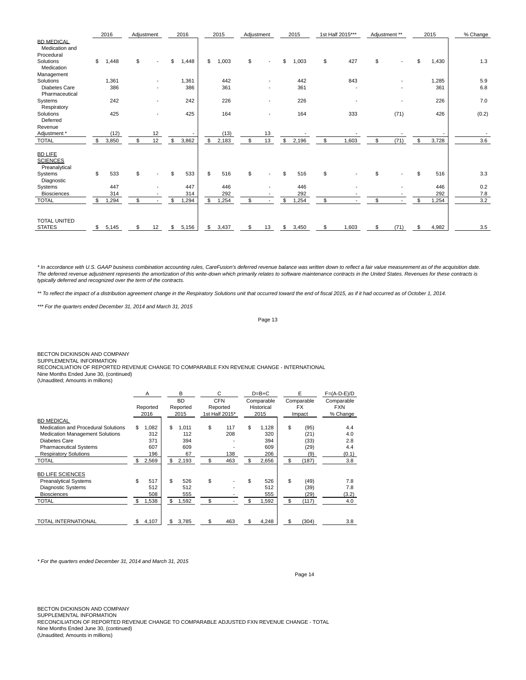|                                                    |     | 2016  | Adjustment |    |                | 2016  | 2015        |     | Adjustment | 2015        |                | 1st Half 2015*** | Adjustment **  |      |                | 2015  | % Change |
|----------------------------------------------------|-----|-------|------------|----|----------------|-------|-------------|-----|------------|-------------|----------------|------------------|----------------|------|----------------|-------|----------|
| <b>BD MEDICAL</b><br>Medication and                |     |       |            |    |                |       |             |     |            |             |                |                  |                |      |                |       |          |
| Procedural<br>Solutions<br>Medication              | \$  | 1.448 | \$         |    | \$             | 1,448 | \$<br>1,003 | \$  |            | \$<br>1,003 | \$             | 427              | \$             |      | \$             | 1,430 | 1.3      |
| Management                                         |     |       |            |    |                |       |             |     |            |             |                |                  |                |      |                |       |          |
| Solutions                                          |     | 1,361 |            |    |                | 1,361 | 442         |     |            | 442         |                | 843              |                |      |                | 1,285 | 5.9      |
| Diabetes Care<br>Pharmaceutical                    |     | 386   |            |    |                | 386   | 361         |     |            | 361         |                |                  |                |      |                | 361   | 6.8      |
| Systems<br>Respiratory                             |     | 242   |            |    |                | 242   | 226         |     |            | 226         |                |                  |                |      |                | 226   | 7.0      |
| Solutions<br>Deferred                              |     | 425   |            |    |                | 425   | 164         |     |            | 164         |                | 333              |                | (71) |                | 426   | (0.2)    |
| Revenue                                            |     |       |            |    |                |       |             |     |            |             |                |                  |                |      |                |       |          |
| Adjustment *                                       |     | (12)  |            | 12 |                |       | (13)        |     | 13         |             |                |                  |                |      |                |       |          |
| <b>TOTAL</b>                                       | \$  | 3,850 |            | 12 | \$             | 3,862 | \$<br>2,183 | \$. | 13         | \$<br>2,196 | \$             | 1,603            | \$             | (71) | $\mathfrak{L}$ | 3,728 | 3.6      |
| <b>BD LIFE</b><br><b>SCIENCES</b><br>Preanalytical |     |       |            |    |                |       |             |     |            |             |                |                  |                |      |                |       |          |
| Systems<br>Diagnostic                              | \$  | 533   | \$         |    | \$             | 533   | \$<br>516   | \$  |            | \$<br>516   | \$             |                  | \$             |      | \$             | 516   | 3.3      |
| Systems                                            |     | 447   |            |    |                | 447   | 446         |     |            | 446         |                |                  |                |      |                | 446   | 0.2      |
| <b>Biosciences</b>                                 |     | 314   |            |    |                | 314   | 292         |     |            | 292         |                |                  |                |      |                | 292   | $7.8$    |
| <b>TOTAL</b>                                       | \$  | 1,294 | ፍ          |    | $\mathfrak{L}$ | 1,294 | \$<br>1,254 | \$  |            | \$<br>1,254 | $\mathfrak{L}$ |                  | $\mathfrak{L}$ |      | $\mathfrak{L}$ | ,254  | 3.2      |
| <b>TOTAL UNITED</b><br><b>STATES</b>               | \$. | 5,145 |            | 12 | \$             | 5,156 | \$<br>3,437 |     | 13         | \$<br>3,450 | \$             | 1,603            | \$             | (71) | \$.            | 4,982 | 3.5      |
|                                                    |     |       |            |    |                |       |             |     |            |             |                |                  |                |      |                |       |          |

\* In accordance with U.S. GAAP business combination accounting rules, CareFusion's deferred revenue balance was written down to reflect a fair value measurement as of the acquisition date. The deferred revenue adjustment represents the amortization of this write-down which primarily relates to software maintenance contracts in the United States. Revenues for these contracts is typically deferred and recognized over the term of the contracts.

\*\* To reflect the impact of a distribution agreement change in the Respiratory Solutions unit that occurred toward the end of fiscal 2015, as if it had occurred as of October 1, 2014.

\*\*\* For the quarters ended December 31, 2014 and March 31, 2015

Page 13

BECTON DICKINSON AND COMPANY

SUPPLEMENTAL INFORMATION

RECONCILIATION OF REPORTED REVENUE CHANGE TO COMPARABLE FXN REVENUE CHANGE - INTERNATIONAL Nine Months Ended June 30, (continued)

(Unaudited; Amounts in millions)

|                                     | A           |     | B         |    | С              | $D=B+C$     | E           | $F=(A-D-E)/D$ |
|-------------------------------------|-------------|-----|-----------|----|----------------|-------------|-------------|---------------|
|                                     |             |     | <b>BD</b> |    | <b>CFN</b>     | Comparable  | Comparable  | Comparable    |
|                                     | Reported    |     | Reported  |    | Reported       | Historical  | <b>FX</b>   | <b>FXN</b>    |
|                                     | 2016        |     | 2015      |    | 1st Half 2015* | 2015        | Impact      | % Change      |
| <b>BD MEDICAL</b>                   |             |     |           |    |                |             |             |               |
| Medication and Procedural Solutions | \$<br>1,082 | \$. | 1.011     | \$ | 117            | \$<br>1.128 | \$<br>(95)  | 4.4           |
| Medication Management Solutions     | 312         |     | 112       |    | 208            | 320         | (21)        | 4.0           |
| Diabetes Care                       | 371         |     | 394       |    |                | 394         | (33)        | 2.8           |
| <b>Pharmaceutical Systems</b>       | 607         |     | 609       |    |                | 609         | (29)        | 4.4           |
| <b>Respiratory Solutions</b>        | 196         |     | 67        |    | 138            | 206         | (9)         | (0.1)         |
| <b>TOTAL</b>                        | \$<br>2,569 | \$  | 2,193     | \$ | 463            | \$<br>2,656 | \$<br>(187) | 3.8           |
|                                     |             |     |           |    |                |             |             |               |
| <b>BD LIFE SCIENCES</b>             |             |     |           |    |                |             |             |               |
| <b>Preanalytical Systems</b>        | \$<br>517   | \$  | 526       | \$ |                | \$<br>526   | \$<br>(49)  | 7.8           |
| <b>Diagnostic Systems</b>           | 512         |     | 512       |    |                | 512         | (39)        | 7.8           |
| <b>Biosciences</b>                  | 508         |     | 555       |    |                | 555         | (29)        | (3.2)         |
| <b>TOTAL</b>                        | \$<br>1,538 | \$  | 1,592     | \$ |                | \$<br>1,592 | \$<br>(117) | 4.0           |
|                                     |             |     |           |    |                |             |             |               |
| <b>TOTAL INTERNATIONAL</b>          | \$<br>4,107 | \$  | 3,785     | \$ | 463            | \$<br>4,248 | \$<br>(304) | 3.8           |

\* For the quarters ended December 31, 2014 and March 31, 2015

Page 14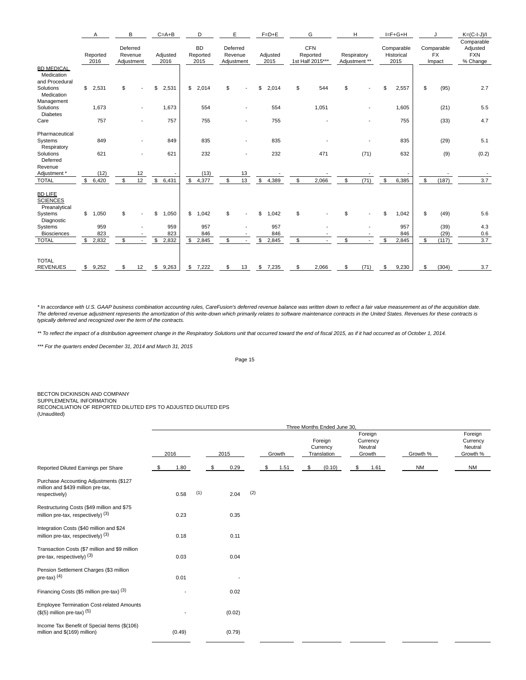|                                                                              | Α                     | B                                 |    | $C = A + B$      | D                             | E                      |         | $F=D+E$          |     | G                                          |    | H                            |    | $I = F + G + H$                  |              |                                   | $K=(C-I-J)/I$                                    |
|------------------------------------------------------------------------------|-----------------------|-----------------------------------|----|------------------|-------------------------------|------------------------|---------|------------------|-----|--------------------------------------------|----|------------------------------|----|----------------------------------|--------------|-----------------------------------|--------------------------------------------------|
|                                                                              | Reported<br>2016      | Deferred<br>Revenue<br>Adjustment |    | Adjusted<br>2016 | <b>BD</b><br>Reported<br>2015 | Deferred<br>Adjustment | Revenue | Adjusted<br>2015 |     | <b>CFN</b><br>Reported<br>1st Half 2015*** |    | Respiratory<br>Adjustment ** |    | Comparable<br>Historical<br>2015 |              | Comparable<br><b>FX</b><br>Impact | Comparable<br>Adjusted<br><b>FXN</b><br>% Change |
| <b>BD MEDICAL</b><br>Medication<br>and Procedural<br>Solutions<br>Medication | $\mathbb S$<br>2,531  | \$                                |    | 2,531<br>\$      | \$<br>2,014                   | \$                     |         | 2,014<br>\$      | \$  | 544                                        | \$ |                              | \$ | 2,557                            | \$           | (95)                              | 2.7                                              |
| Management<br>Solutions<br><b>Diabetes</b>                                   | 1,673                 |                                   |    | 1,673            | 554                           |                        |         | 554              |     | 1,051                                      |    |                              |    | 1,605                            |              | (21)                              | 5.5                                              |
| Care                                                                         | 757                   |                                   |    | 757              | 755                           |                        |         | 755              |     |                                            |    |                              |    | 755                              |              | (33)                              | 4.7                                              |
| Pharmaceutical                                                               |                       |                                   |    |                  |                               |                        |         |                  |     |                                            |    |                              |    |                                  |              |                                   |                                                  |
| Systems<br>Respiratory                                                       | 849                   |                                   |    | 849              | 835                           |                        |         | 835              |     |                                            |    |                              |    | 835                              |              | (29)                              | 5.1                                              |
| Solutions<br>Deferred                                                        | 621                   |                                   |    | 621              | 232                           |                        |         | 232              |     | 471                                        |    | (71)                         |    | 632                              |              | (9)                               | (0.2)                                            |
| Revenue<br>Adjustment *                                                      | (12)                  |                                   | 12 |                  | (13)                          |                        | 13      |                  |     |                                            |    |                              |    |                                  |              |                                   |                                                  |
| <b>TOTAL</b>                                                                 | \$<br>6,420           | \$                                | 12 | \$<br>6,431      | $\mathbb{S}$<br>4,377         | \$                     | 13      | 4,389<br>\$      | \$  | 2,066                                      | \$ | (71)                         | \$ | 6,385                            | $\mathbb{S}$ | (187)                             | 3.7                                              |
| <b>BD LIFE</b><br><b>SCIENCES</b><br>Preanalytical                           |                       |                                   |    |                  |                               |                        |         |                  |     |                                            |    |                              |    |                                  |              |                                   |                                                  |
| Systems<br>Diagnostic                                                        | $\mathbb{S}$<br>1,050 | \$                                |    | \$<br>1,050      | \$<br>1,042                   | \$                     |         | 1,042<br>\$      | \$  |                                            | \$ |                              | \$ | 1,042                            | \$           | (49)                              | 5.6                                              |
| Systems                                                                      | 959                   |                                   |    | 959              | 957                           |                        |         | 957              |     |                                            |    |                              |    | 957                              |              | (39)                              | 4.3                                              |
| <b>Biosciences</b>                                                           | 823                   |                                   |    | 823              | 846                           |                        |         | 846              |     |                                            |    |                              |    | 846                              |              | (29)                              | 0.6                                              |
| <b>TOTAL</b>                                                                 | \$2,832               | \$                                |    | 2,832<br>\$      | $\mathfrak s$<br>2,845        | \$                     |         | \$<br>2,845      | \$  |                                            | \$ |                              | \$ | 2,845                            | \$           | (117)                             | 3.7                                              |
| <b>TOTAL</b><br><b>REVENUES</b>                                              | \$9,252               | \$                                |    | 12 \$ 9,263      | \$7,222                       | S                      | 13      | 7,235<br>\$      | \$. | 2,066                                      | S  | (71)                         | S  | 9,230                            | \$           | (304)                             | 3.7                                              |

\* In accordance with U.S. GAAP business combination accounting rules, CareFusion's deferred revenue balance was written down to reflect a fair value measurement as of the acquisition date.<br>The deferred revenue adjustment r

\*\* To reflect the impact of a distribution agreement change in the Respiratory Solutions unit that occurred toward the end of fiscal 2015, as if it had occurred as of October 1, 2014.

\*\*\* For the quarters ended December 31, 2014 and March 31, 2015

Page 15

BECTON DICKINSON AND COMPANY SUPPLEMENTAL INFORMATION RECONCILIATION OF REPORTED DILUTED EPS TO ADJUSTED DILUTED EPS (Unaudited)

|                                                                                               |      |                          |     |      |        |     |            | Three Months Ended June 30,        |                                          |           |                                            |
|-----------------------------------------------------------------------------------------------|------|--------------------------|-----|------|--------|-----|------------|------------------------------------|------------------------------------------|-----------|--------------------------------------------|
|                                                                                               | 2016 |                          |     | 2015 |        |     | Growth     | Foreign<br>Currency<br>Translation | Foreign<br>Currency<br>Neutral<br>Growth | Growth %  | Foreign<br>Currency<br>Neutral<br>Growth % |
| Reported Diluted Earnings per Share                                                           | \$   | 1.80                     |     | - \$ | 0.29   |     | \$<br>1.51 | \$<br>(0.10)                       | \$<br>1.61                               | <b>NM</b> | <b>NM</b>                                  |
| Purchase Accounting Adjustments (\$127<br>million and \$439 million pre-tax,<br>respectively) |      | 0.58                     | (1) |      | 2.04   | (2) |            |                                    |                                          |           |                                            |
| Restructuring Costs (\$49 million and \$75<br>million pre-tax, respectively) $(3)$            |      | 0.23                     |     |      | 0.35   |     |            |                                    |                                          |           |                                            |
| Integration Costs (\$40 million and \$24<br>million pre-tax, respectively) $(3)$              |      | 0.18                     |     |      | 0.11   |     |            |                                    |                                          |           |                                            |
| Transaction Costs (\$7 million and \$9 million<br>pre-tax, respectively) (3)                  |      | 0.03                     |     |      | 0.04   |     |            |                                    |                                          |           |                                            |
| Pension Settlement Charges (\$3 million<br>pre-tax) $(4)$                                     |      | 0.01                     |     |      |        |     |            |                                    |                                          |           |                                            |
| Financing Costs (\$5 million pre-tax) (3)                                                     |      | $\overline{\phantom{a}}$ |     |      | 0.02   |     |            |                                    |                                          |           |                                            |
| <b>Employee Termination Cost-related Amounts</b><br>$($(5)$ million pre-tax) $(5)$            |      | $\overline{\phantom{a}}$ |     |      | (0.02) |     |            |                                    |                                          |           |                                            |
| Income Tax Benefit of Special Items (\$(106)<br>million and \$(169) million)                  |      | (0.49)                   |     |      | (0.79) |     |            |                                    |                                          |           |                                            |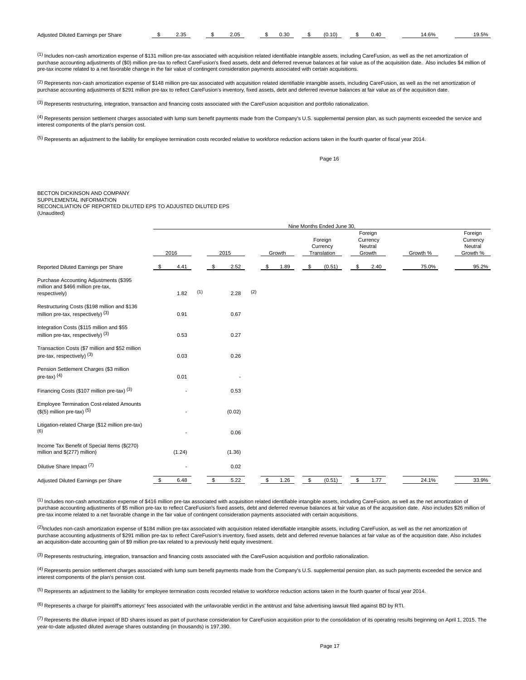| Adiusted<br><sup>.</sup> Share<br>Diluted<br>Earnings per | $\sim$ $\sim$<br>7. €<br>–… | .05 | --<br>v.J | $\sim$ | . | 10E<br>. J.J / U |
|-----------------------------------------------------------|-----------------------------|-----|-----------|--------|---|------------------|
|                                                           |                             |     |           |        |   |                  |

(1) Includes non-cash amortization expense of \$131 million pre-tax associated with acquisition related identifiable intangible assets, including CareFusion, as well as the net amortization of purchase accounting adjustments of (\$0) million pre-tax to reflect CareFusion's fixed assets, debt and deferred revenue balances at fair value as of the acquisition date. Also includes \$4 million of<br>pre-tax income related

<sup>(2)</sup> Represents non-cash amortization expense of \$148 million pre-tax associated with acquisition related identifiable intangible assets, including CareFusion, as well as the net amortization of purchase accounting adjustments of \$291 million pre-tax to reflect CareFusion's inventory, fixed assets, debt and deferred revenue balances at fair value as of the acquisition date.

(3) Represents restructuring, integration, transaction and financing costs associated with the CareFusion acquisition and portfolio rationalization.

(4) Represents pension settlement charges associated with lump sum benefit payments made from the Company's U.S. supplemental pension plan, as such payments exceeded the service and interest components of the plan's pension cost.

<sup>(5)</sup> Represents an adjustment to the liability for employee termination costs recorded relative to workforce reduction actions taken in the fourth quarter of fiscal year 2014.

Page 16

# BECTON DICKINSON AND COMPANY

SUPPLEMENTAL INFORMATION RECONCILIATION OF REPORTED DILUTED EPS TO ADJUSTED DILUTED EPS (Unaudited)

|                                                                                               | Nine Months Ended June 30, |     |    |        |     |               |        |                                    |                                          |          |                                            |
|-----------------------------------------------------------------------------------------------|----------------------------|-----|----|--------|-----|---------------|--------|------------------------------------|------------------------------------------|----------|--------------------------------------------|
|                                                                                               | 2016                       |     |    | 2015   |     |               | Growth | Foreign<br>Currency<br>Translation | Foreign<br>Currency<br>Neutral<br>Growth | Growth % | Foreign<br>Currency<br>Neutral<br>Growth % |
| Reported Diluted Earnings per Share                                                           | 4.41<br>\$                 |     | \$ | 2.52   |     | \$            | 1.89   | \$<br>(0.51)                       | \$<br>2.40                               | 75.0%    | 95.2%                                      |
| Purchase Accounting Adjustments (\$395<br>million and \$466 million pre-tax,<br>respectively) | 1.82                       | (1) |    | 2.28   | (2) |               |        |                                    |                                          |          |                                            |
| Restructuring Costs (\$198 million and \$136<br>million pre-tax, respectively) $(3)$          | 0.91                       |     |    | 0.67   |     |               |        |                                    |                                          |          |                                            |
| Integration Costs (\$115 million and \$55<br>million pre-tax, respectively) $(3)$             | 0.53                       |     |    | 0.27   |     |               |        |                                    |                                          |          |                                            |
| Transaction Costs (\$7 million and \$52 million<br>pre-tax, respectively) (3)                 | 0.03                       |     |    | 0.26   |     |               |        |                                    |                                          |          |                                            |
| Pension Settlement Charges (\$3 million<br>pre-tax) $(4)$                                     | 0.01                       |     |    |        |     |               |        |                                    |                                          |          |                                            |
| Financing Costs (\$107 million pre-tax) (3)                                                   | $\overline{\phantom{a}}$   |     |    | 0.53   |     |               |        |                                    |                                          |          |                                            |
| <b>Employee Termination Cost-related Amounts</b><br>$($(5)$ million pre-tax) $(5)$            |                            |     |    | (0.02) |     |               |        |                                    |                                          |          |                                            |
| Litigation-related Charge (\$12 million pre-tax)<br>(6)                                       |                            |     |    | 0.06   |     |               |        |                                    |                                          |          |                                            |
| Income Tax Benefit of Special Items (\$(270)<br>million and \$(277) million)                  | (1.24)                     |     |    | (1.36) |     |               |        |                                    |                                          |          |                                            |
| Dilutive Share Impact <sup>(7)</sup>                                                          | $\overline{\phantom{a}}$   |     |    | 0.02   |     |               |        |                                    |                                          |          |                                            |
| Adjusted Diluted Earnings per Share                                                           | \$<br>6.48                 |     | \$ | 5.22   |     | $\mathfrak s$ | 1.26   | \$<br>(0.51)                       | \$<br>1.77                               | 24.1%    | 33.9%                                      |

(1) Includes non-cash amortization expense of \$416 million pre-tax associated with acquisition related identifiable intangible assets, including CareFusion, as well as the net amortization of purchase accounting adjustments of \$5 million pre-tax to reflect CareFusion's fixed assets, debt and deferred revenue balances at fair value as of the acquisition date. Also includes \$26 million of pre-tax income related to a net favorable change in the fair value of contingent consideration payments associated with certain acquisitions.

 $^{(2)}$ Includes non-cash amortization expense of \$184 million pre-tax associated with acquisition related identifiable intangible assets, including CareFusion, as well as the net amortization of purchase accounting adjustments of \$291 million pre-tax to reflect CareFusion's inventory, fixed assets, debt and deferred revenue balances at fair value as of the acquisition date. Also includes an acquisition-date accounting gain of \$9 million pre-tax related to a previously held equity investment.

(3) Represents restructuring, integration, transaction and financing costs associated with the CareFusion acquisition and portfolio rationalization.

(4) Represents pension settlement charges associated with lump sum benefit payments made from the Company's U.S. supplemental pension plan, as such payments exceeded the service and interest components of the plan's pension cost.

<sup>(5)</sup> Represents an adjustment to the liability for employee termination costs recorded relative to workforce reduction actions taken in the fourth quarter of fiscal year 2014.

<sup>(6)</sup> Represents a charge for plaintiff's attorneys' fees associated with the unfavorable verdict in the antitrust and false advertising lawsuit filed against BD by RTI.

 $^{(7)}$  Represents the dilutive impact of BD shares issued as part of purchase consideration for CareFusion acquisition prior to the consolidation of its operating results beginning on April 1, 2015. The year-to-date adjusted diluted average shares outstanding (in thousands) is 197,390.